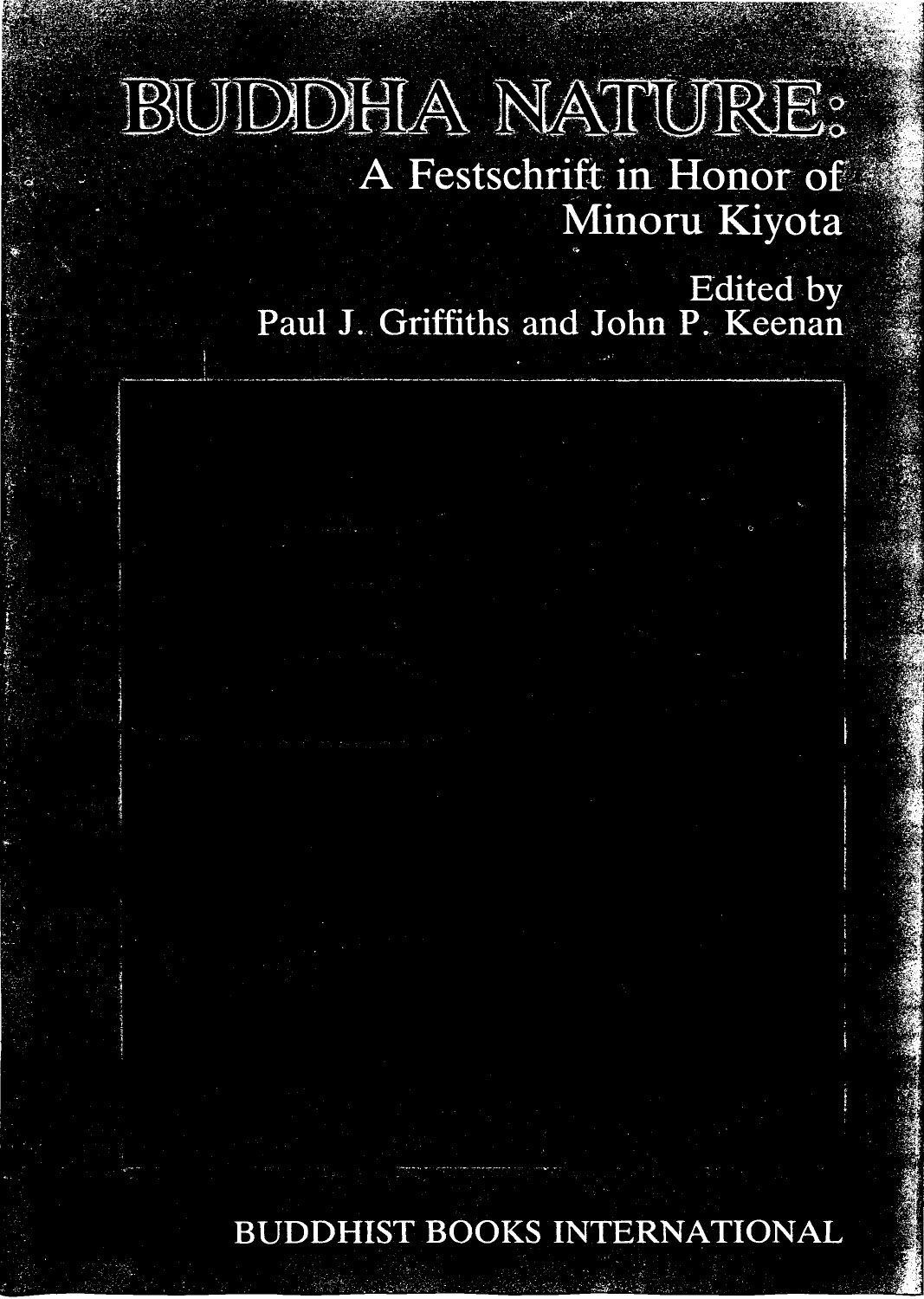# BUIDDHIA NATURE: A Festschrift in Honor of Minoru Kiyota

**Edited** by Paul J. Griffiths and John P. Keenan

**BUDDHIST BOOKS INTERNATIONAL**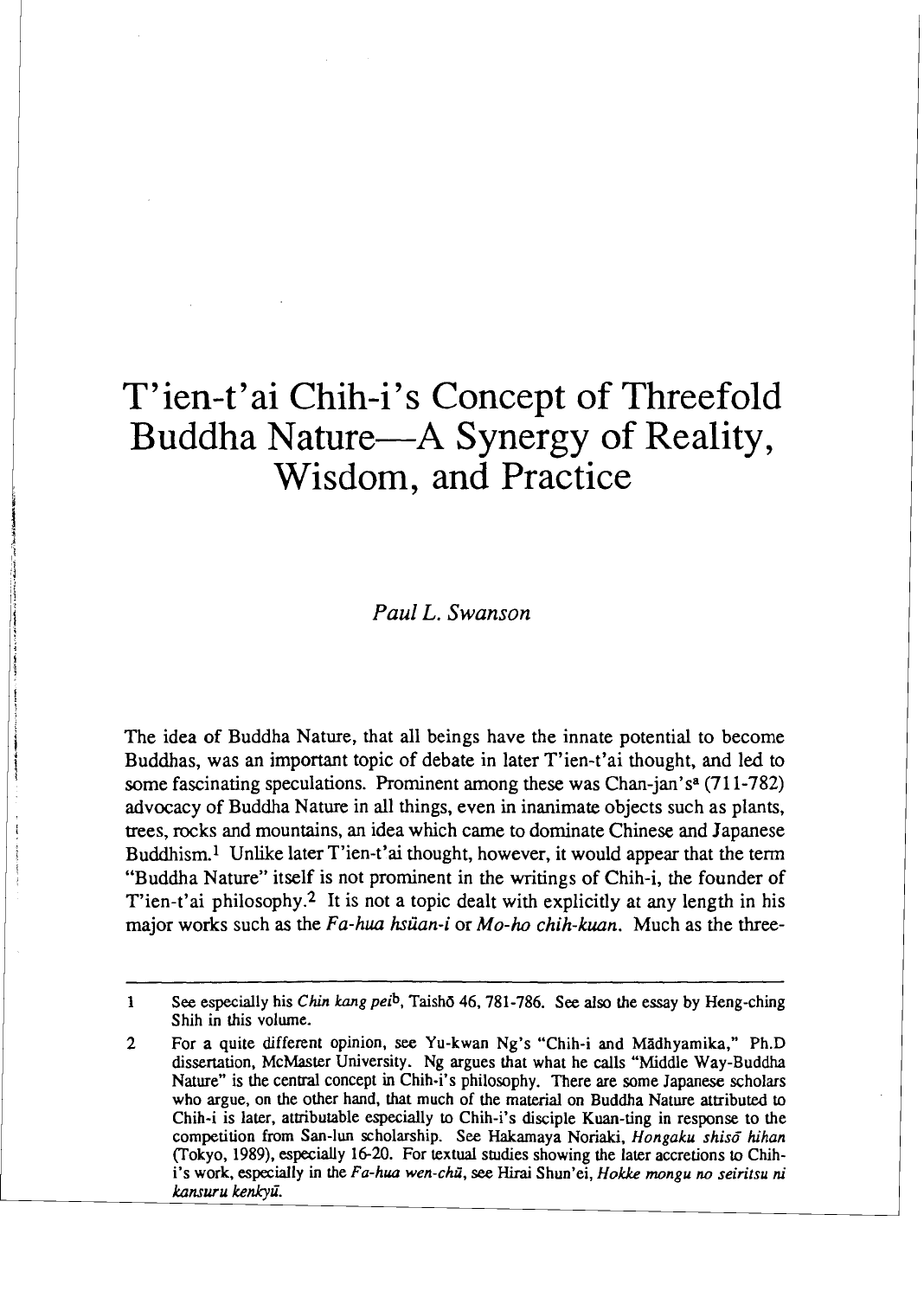# T'ien-t'ai Chih-i's Concept of Threefold Buddha Nature—A Synergy of Reality, Wisdom, and Practice

*Paul L. Swanson* 

The idea of Buddha Nature, that all beings have the innate potential to become Buddhas, was an important topic of debate in later T'ien-t'ai thought, and led to some fascinating speculations. Prominent among these was Chan-jan's<sup>a</sup>  $(711-782)$ advocacy of Buddha Nature in all things, even in inanimate objects such as plants, trees, rocks and mountains, an idea which came to dominate Chinese and Japanese Buddhism.<sup>1</sup> Unlike later T'ien-t'ai thought, however, it would appear that the term "Buddha Nature" itself is not prominent in the writings of Chih-i, the founder of T'ien-t'ai philosophy.<sup>2</sup> It is not a topic dealt with explicitly at any length in his major works such as the *Fa-hua* **hsiian-i** or *Mo-ho* chih-kuan. Much as the three-

- ----

**<sup>1</sup> See** especially his **Chin** *kang peib,* Taish6 **46,781-786.** See also the essay by Heng-ching Shih in this volume.

**<sup>2</sup>** For a quite different opinion, see Yu-kwan Ng's "Chih-i **and** Mgdhyamika," Ph.D dissertation, McMaster University. Ng argues that what he calls "Middle Way-Buddha Nature" is the central concept in Chih-i's philosophy. There are some Japanese scholars who argue, on the other hand, that much of the material on Buddha Nature attributed to Chih-i is later, attributable especially to Chih-i's disciple Kuan-ting in response to the competition from **San-lun** scholarship. **See** Hakamaya Noriaki, *Hongaku* **shisd hihan**  (Tokyo, 1989). especially 16-20. For **textual** studies showing the later accretions to Chihi's work, especially in the *Fa-hua wen-chu',* **see Hirai** Shun'ei, *Hokke monfu* **no** *seiritsu* **ni** kansuru kenkyū.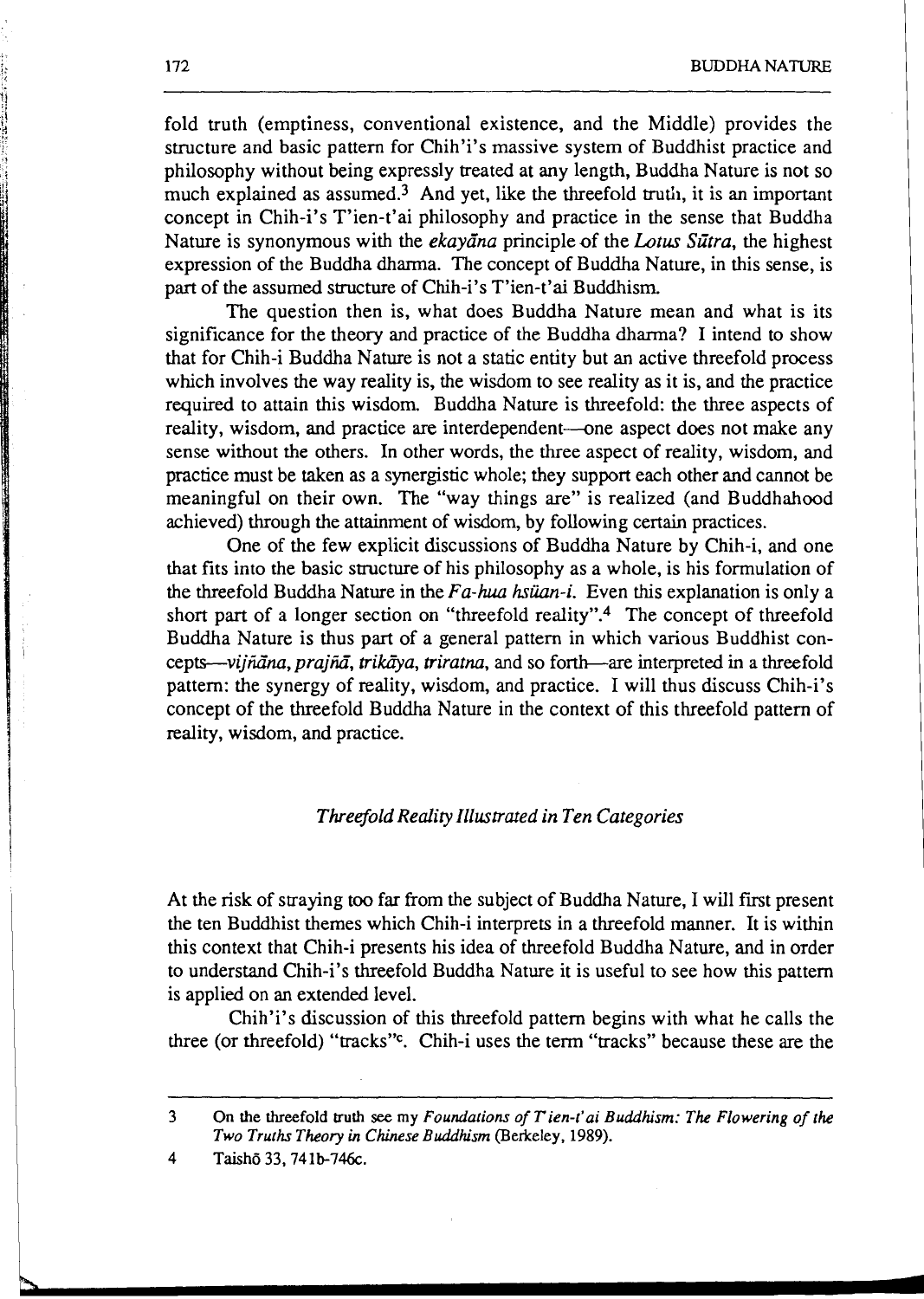- -

fold truth (emptiness, conventional existence, and the Middle) provides the structure and basic pattern for Chih'i's massive system of Buddhist practice and philosophy without being expressly treated at any length, Buddha Nature is not so much explained as assumed.3 And yet, like the threefold *truth,* it is an important concept in Chih-i's T'ien-t'ai philosophy and practice in the sense that Buddha Nature is synonymous with the *ekayana* principle of the *Lotus Sutra*, the highest expression of the Buddha dharma. The concept of Buddha Nature, in this sense, is part of the assumed structure of Chih-i's T'ien-t'ai Buddhism

The question then is, what does Buddha Nature mean and what is its significance for the theory and practice of the Buddha dharma? I intend to show that for Chih-i Buddha Nature is not a static entity but an active threefold process which involves the way reality is, the wisdom to see reality **as** it is, and the practice required to attain this wisdom. Buddha Nature is threefold: the three aspects of reality, wisdom, and practice are interdependent--one aspect does not make any sense without the others. In other words, the three aspect of reality, wisdom, and practice must be taken as a synergistic whole; they support each other and cannot be meaningful on their own. The "way things are" is realized (and Buddhahood achieved) through the attainment of wisdom, by following certain practices.

One of the few explicit discussions of Buddha Nature by Chih-i, and one that fits into the basic smcture of his philosophy as a whole, is his formulation of the threefold Buddha Nature in the Fa-hua *hsiian-i.* Even this explanation is only a short part of a longer section on "threefold reality".<sup>4</sup> The concept of threefold Buddha Nature is thus part of a general pattern in which various Buddhist concepts—vijnāna, prajnā, trikāya, triratna, and so forth—are interpreted in a threefold pattem: the synergy of reality, wisdom, and practice. I will thus discuss Chih-i's concept of the threefold Buddha Nature in the context of this threefold pattern of reality, wisdom, and practice.

## Threefold Reality Illustrated in Ten Categories

At the risk of straying too far from the subject of Buddha Nature, I will first present the ten Buddhist themes which Chih-i interprets in a threefold manner. It is within this context that Chih-i presents his idea of threefold Buddha Nature, and in order to understand Chih-i's threefold Buddha Nature it is useful to see how this pattern is applied on an extended level.

Chih'i's discussion of this threefold pattem begins with what he calls the three (or threefold) "tracks"<sup>c</sup>. Chih-i uses the term "tracks" because these are the

おおとり きょうほう

**<sup>3</sup> On the threefold truth** *see my Foundations of Tien-t'ai Buddhism: The Flowering of the Two Truths Theory in Chinese Buddhism (Berkeley, 1989).* 

**<sup>4</sup> Taishd33,741b-746~.**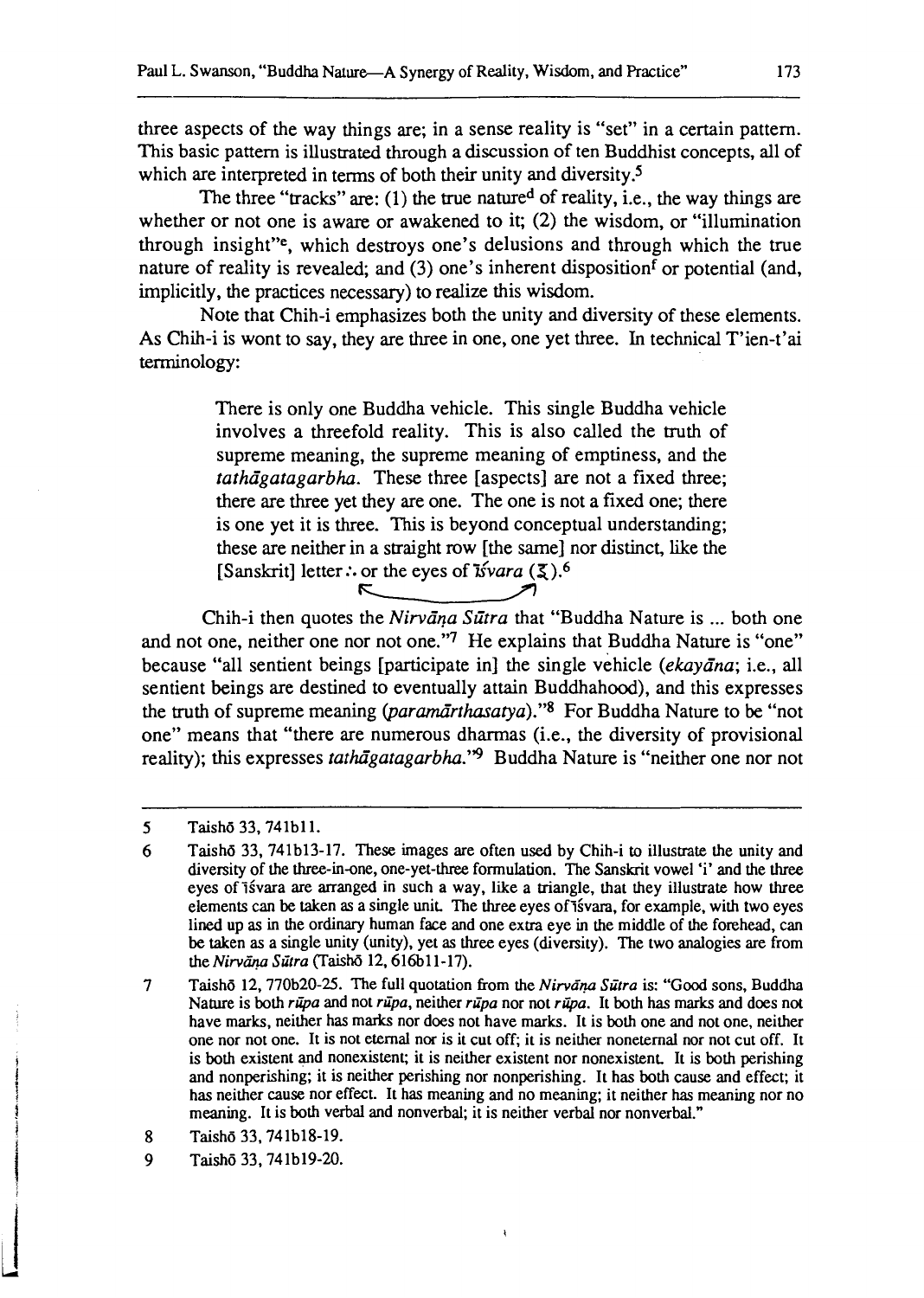three aspects of the way things are; in a sense reality is "set" in a certain pattern. This basic pattern is illustrated through a discussion of ten Buddhist concepts, all of which are interpreted in terms of both their unity and diversity.<sup>5</sup>

The three "tracks" are: (1) the true natured of reality, i.e., the way things are whether or not one is aware or awakened to it; (2) the wisdom, or "illumination through insight"<sup>e</sup>, which destroys one's delusions and through which the true nature of reality is revealed; and (3) one's inherent disposition<sup>f</sup> or potential (and, implicitly, the practices necessary) to realize this wisdom.

Note that Chih-i emphasizes both the unity and diversity of these elements. As Chih-i is wont to say, they are three in one, one yet three. In technical T'ien-t'ai terminology:

There is only one Buddha vehicle. This single Buddha vehicle involves a threefold reality. This is also called the truth of supreme meaning, the supreme meaning of emptiness, and the tathägatagarbha. These three [aspects] are not a fixed three; there are three yet they are one. The one is not a fixed one; there is one yet it is three. This is beyond conceptual understanding; these are neither in a straight row [the same] nor distinct, like the Example 2 and  $\sum_{i=1}^{n}$  in a straight fow the static<sub>1</sub> in [Sanskrit] letter :. or the eyes of  $\frac{1}{2}$  of  $\frac{1}{2}$ . ey are three in one, one yet three. In technical T'ien-t'<br>Buddha vehicle. This single Buddha vehicle<br>old reality. This is also called the truth of<br>i, the supreme meaning of emptiness, and the<br>These three [aspects] are not

Chih-i then quotes the Nirvana Sutra that "Buddha Nature is ... both one and not one, neither one nor not one."7 He explains that Buddha Nature is "one" because "all sentient beings [participate in] the single vehicle (ekayana; i.e., all sentient beings are destined to eventually attain Buddhahood), and this expresses the truth of supreme meaning (paramarthasatya)."<sup>8</sup> For Buddha Nature to be "not one" means that "there are numerous dharmas (i.e., the diversity of provisional reality); this expresses tathagatagarbha."<sup>9</sup> Buddha Nature is "neither one nor not

 $\lambda$ 

<sup>5</sup> Taishō 33, 741b11.

<sup>6</sup> Taishd 33, 741b13-17. These images are often used by Chih-i **to** illustrate the unity and diversity of the three-in-one, one-yet-three formulation. The Sanskrit vowel 'i' and the three eyes of isvara are arranged in such a way, like a triangle, that they illustrate how three elements can be taken as a single unit. The three eyes of isvara, for example, with two eyes lined up **as** in the ordinary human face and one extra eye in the middle of the forehead, can be taken **as** a single unity (unity), yet **as** three eyes (diversity). The two analogies are from the *Nirvāna Sūtra* (Taishō 12, 616b11-17).

 $\overline{7}$ Taishō 12, 770b20-25. The full quotation from the *Nirvāṇa Sūtra* is: "Good sons, Buddha Nature is both *rupa* and not *rupa*, neither *rupa* nor not *rupa*. It both has marks and does not have marks, neither has marks nor does not have marks. It is both one and not one, neither one nor not one. It is not eternal nor is it cut off; it is neither noneternal nor not cut off. It is both existent and nonexistent; it is neither existent nor nonexistent. It is both perishing and nonperishing; it is neither perishing nor nonperishing. It has both cause and effect; it has neither cause nor effect. It has meaning and no meaning; it neither has meaning nor no meaning. It is both verbal and nonverbal; it is neither verbal nor nonverbal."

Taishd 33,741bl8-19. 8

<sup>9</sup> Taish6 33,741b19-20.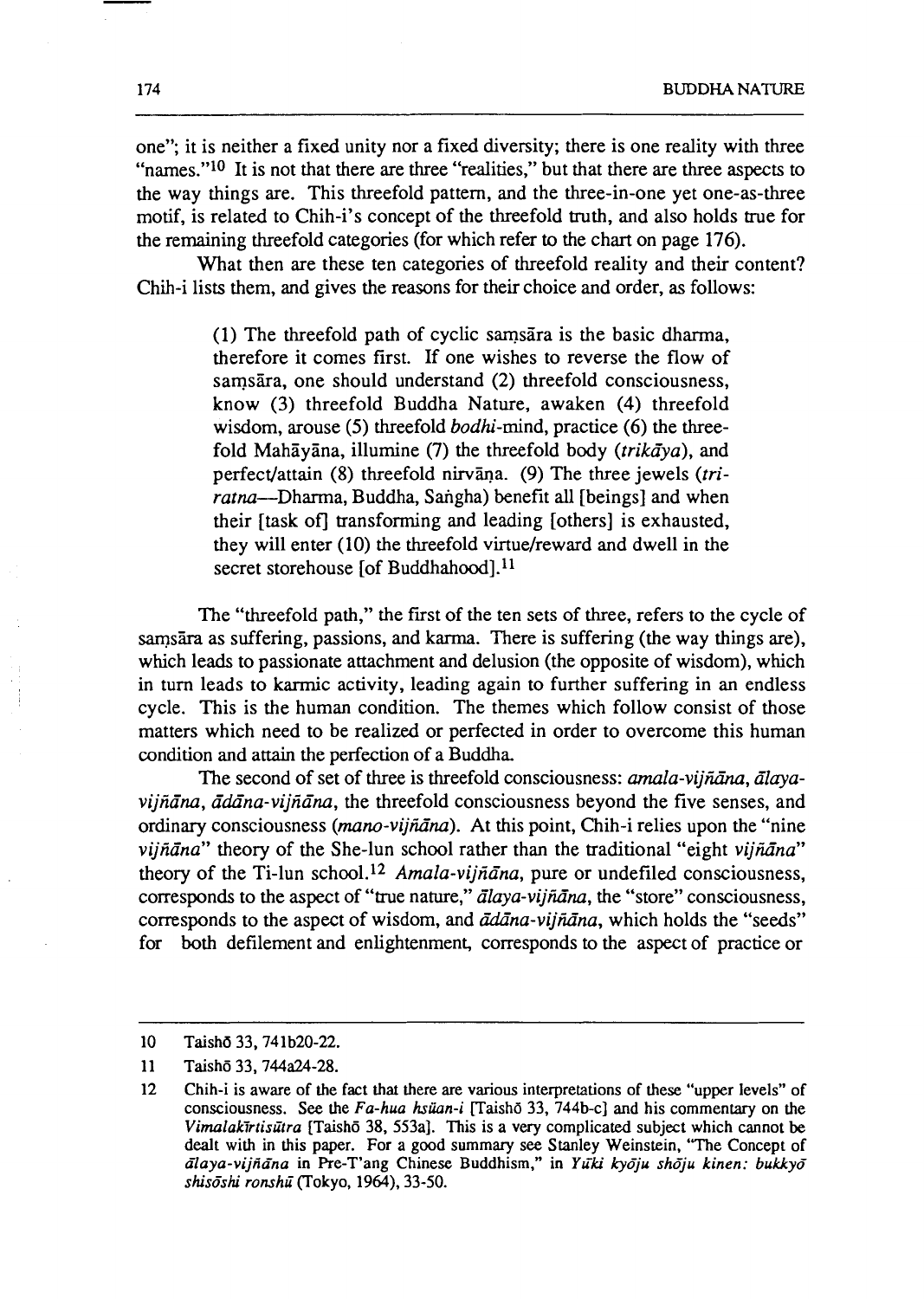one"; it is neither a fixed unity nor a fixed diversity; there is one reality with three "names." $10$  It is not that there are three "realities," but that there are three aspects to the way things are. This threefold pattern, and the three-in-one yet one-as-three motif, is related to Chih-i's concept of the threefold truth, and also holds true for the remaining threefold categories (for which refer to the chart on page 176).

What then are these ten categories of threefold reality and their content? Chih-i lists them, and gives the reasons for their choice and order, as follows:

> $(1)$  The threefold path of cyclic samsara is the basic dharma, therefore it comes first. If one wishes to reverse the flow of samsāra, one should understand (2) threefold consciousness, know **(3)** threefold Buddha Nature, awaken (4) threefold wisdom, arouse (5) threefold *bodhi*-mind, practice (6) the threefold Mahāyāna, illumine (7) the threefold body (trikaya), and perfect/attain (8) threefold nirvana. (9) The three jewels (triratna--Dharma, Buddha, Sangha) benefit all [beings] and when their [task ofJ transforming and leading [others] is exhausted, they will enter (10) the threefold virtue/reward and dwell in the secret storehouse [of Buddhahood]. $^{11}$

The "threefold path," the first of the ten sets of three, refers to the cycle of sams $\overline{a}$  as suffering, passions, and karma. There is suffering (the way things are), which leads to passionate attachment and delusion (the opposite of wisdom), which in turn leads to karmic activity, leading again to further suffering in an endless cycle. This is the human condition. The themes which follow consist of those matters which need to be realized or perfected in order to overcome this human condition and attain the perfection of a Buddha.

The second of set of three is threefold consciousness: amala-vijñāna, ālaya $vi\tilde{n}\bar{a}na$ ,  $\bar{a}d\bar{a}na-vi\tilde{n}\bar{a}na$ , the threefold consciousness beyond the five senses, and ordinary consciousness (mano-vijñana). At this point, Chih-i relies upon the "nine viiñ $\bar{a}$ na" theory of the She-lun school rather than the traditional "eight vijñ $\bar{a}$ na" theory of the Ti-lun school.<sup>12</sup> Amala-vijnāna, pure or undefiled consciousness, corresponds to the aspect of "true nature," *alaya-viiñana*, the "store" consciousness, corresponds to the aspect of wisdom, and  $\bar{a}d\bar{a}na$ -vij $\bar{n}a$ , which holds the "seeds" for both defilement and enlightenment, corresponds to the aspect of practice or

**<sup>10</sup> Taish6 33,741b20-22.** 

<sup>11</sup> Taishō 33, 744a24-28.

**<sup>12</sup> Chih-i is aware of the fact that there are various interpretations of these "upper levels" of**  consciousness. See the *Fa-hua hsüan-i* [Taisho 33, 744b-c] and his commentary on the *Virnalakirtisttra* **[Taishe 38, 553aI. This is a very complicated subject which cannot be dealt with in this paper. For a good summary see Stanley Weinstein, "The Concept of**  *daya-vijkina* **in he-T'ang Chinese Buddhism," in** *Ytki ky6ju sholju kinen: bukkyd shiscshi ronsht* **(Tokyo, 1964), 33-50.**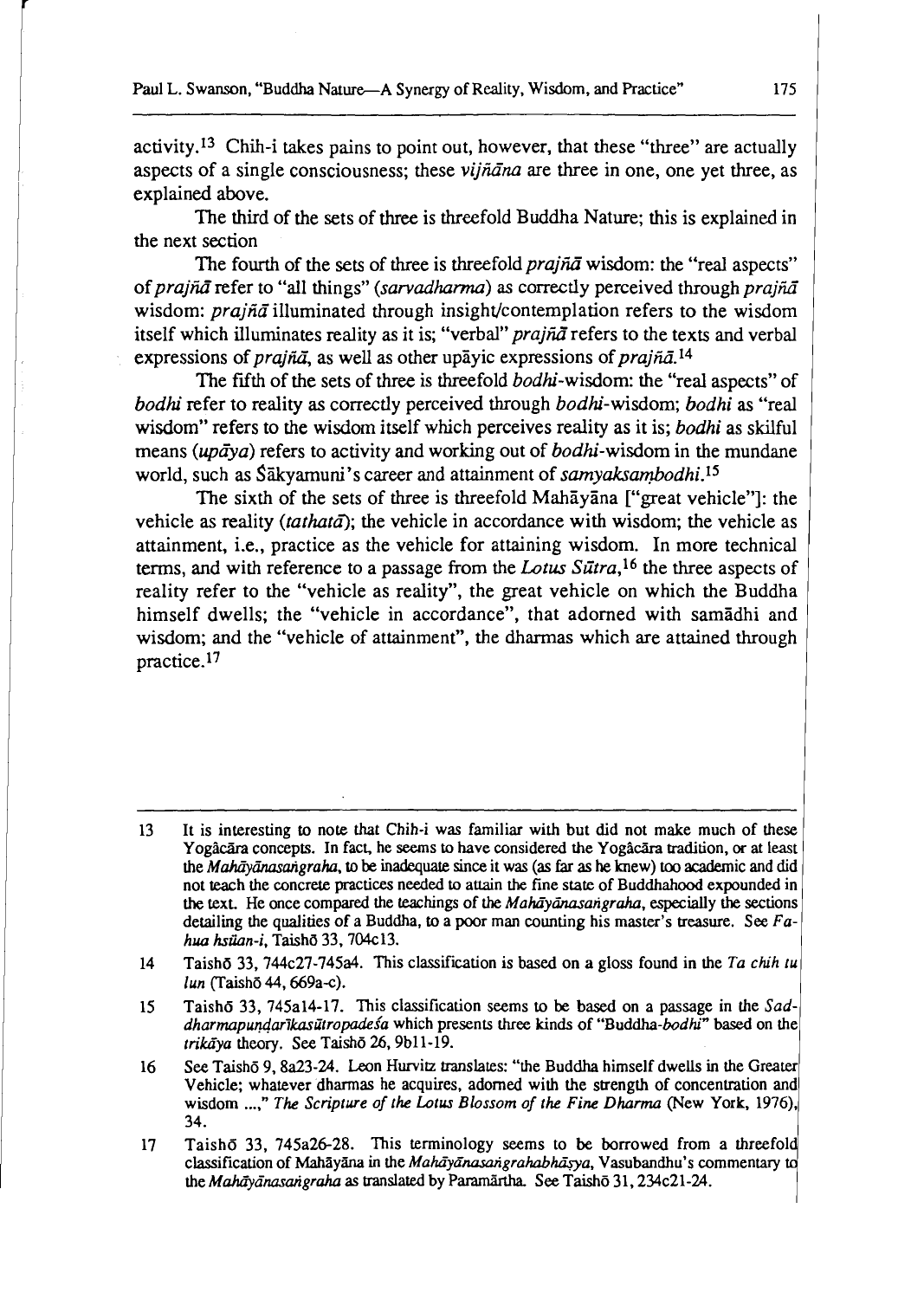activity.13 Chih-i takes pains to point out, however, that these "three" are actually aspects of a single consciousness; these *vijñana* are three in one, one yet three, as explained above.

The third of the sets of three is threefold Buddha Nature; this is explained in the next section

The fourth of the sets of three is threefold *prajna* wisdom: the "real aspects" of prajna refer to "all things" (sarvadharma) as correctly perceived through prajna wisdom: *prajn* $\vec{a}$  illuminated through insight/contemplation refers to the wisdom itself which illuminates reality as it is; "verbal" *prajna* refers to the texts and verbal expressions of *prajna*, as well as other up avic expressions of *prajna*.<sup>14</sup>

The **fifth** of the sets of three is threefold bodhi-wisdom: the "real aspects" of bodhi refer to reality as correctly perceived through bodhi-wisdom; bodhi as "real wisdom" refers to the wisdom itself which perceives reality as it is; bodhi as skilful means ( $\mu p \bar{q}$ ) refers to activity and working out of  $b \rho d h i$ -wisdom in the mundane world, such as Sākyamuni's career and attainment of samyaksambodhi.<sup>15</sup>

The sixth of the sets of three is threefold Mahavana I"great vehicle"]: the vehicle as reality (tathata); the vehicle in accordance with wisdom; the vehicle as attainment, i.e., practice as the vehicle for attaining wisdom. In more technical terms, and with reference to a passage from the *Lotus Sūtra*,<sup>16</sup> the three aspects of reality refer to the "vehicle as reality", the great vehicle on which the Buddha himself dwells; the "vehicle in accordance", that adorned with samadhi and wisdom; and the "vehicle of attainment", the dharmas which are attained through practice.17

It is interesting to note that Chih-i was familiar with but did not make much of these  $13<sup>°</sup>$ Yogâcara concepts. In fact, he seems to have considered the Yogâcara tradition, or at least the *M&iyiina.sarigraha.* to be inadequate **since** it **was (as** far **as** he knew) **too** academic and did not teach the concrete practices needed **to** attain the fine state of Buddhahood expounded in the text. He once compared the teachings of the *Mahayanasangraha*, especially the sections detailing the qualities of a Buddha, to a poor man counting his master's treasure. See **Fa***hua hsiian-i.* Taish6 33,704~13.

Taishō 33, 744c27-745a4. This classification is based on a gloss found in the *Ta chih tu*  $14<sup>°</sup>$ *lun* (Taish6 44,669a-c).

Taishd 33, 745a14-17. This classification seems to be **based** on a passage in the **Sad-**15 dharmapundarikasūtropadesa which presents three kinds of "Buddha-bodhi" based on the trikaya theory. See Taisho 26, 9bl1-19.

See Taishō 9, 8a23-24. Leon Hurvitz translates: "the Buddha himself dwells in the Greater  $16<sup>16</sup>$ Vehicle; whatever dharmas he acquires, adorned with the strength of concentration and wisdom ...," The Scripture of the Lotus Blossom of the Fine Dharma (New York, 1976), 34.

Taishō 33, 745a26-28. This terminology seems to be borrowed from a threefold  $17$ classification of Mahayana in the *Mahayanasangrahabhasya*, Vasubandhu's commentary to the *Mahāyānasarigraha* as translated by Paramārtha. See Taishō 31, 234c21-24.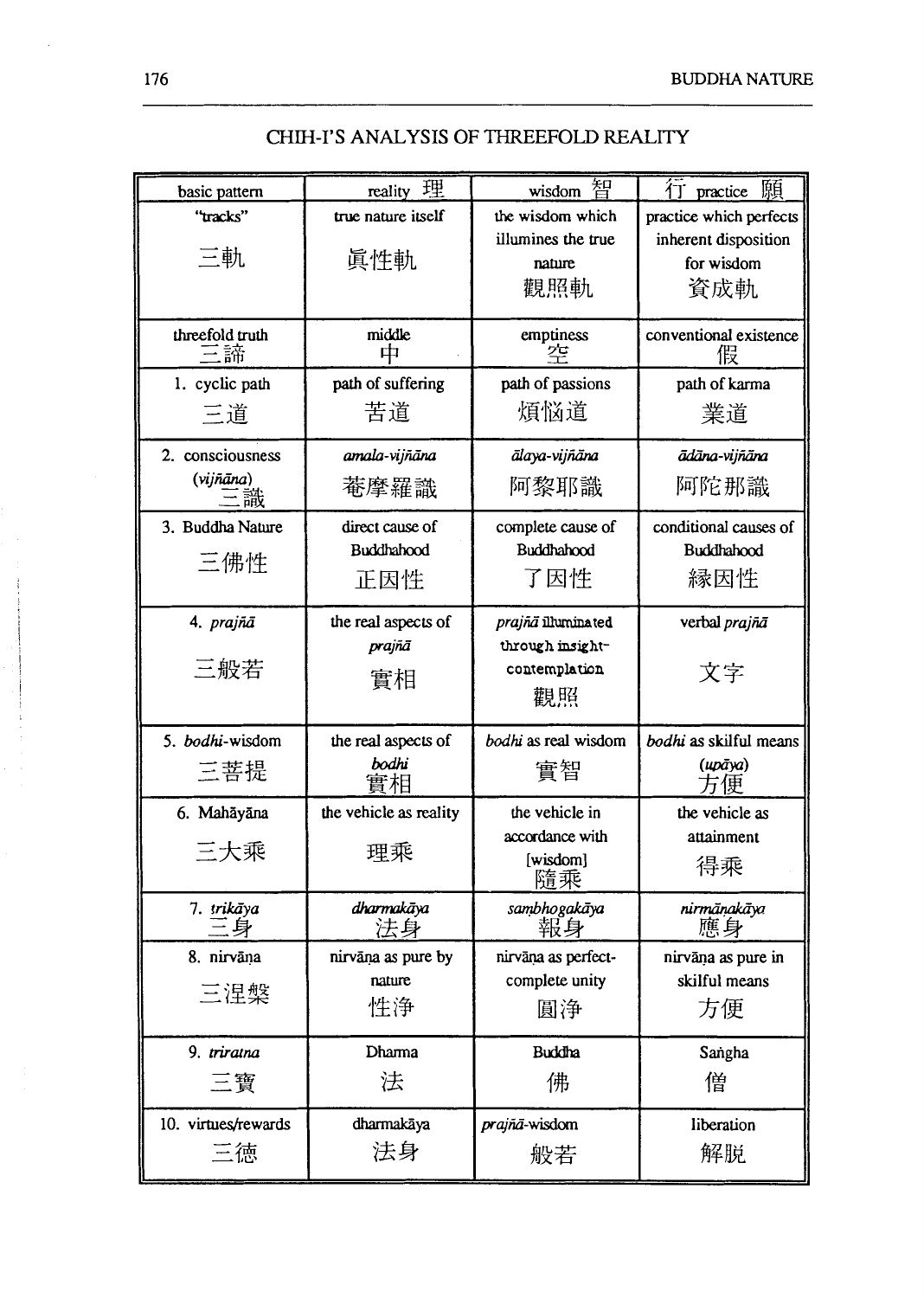| basic pattern       | 理<br>reality           | 智<br>wisdom          | 願<br>1 practice         |
|---------------------|------------------------|----------------------|-------------------------|
| "tracks"            | true nature itself     | the wisdom which     | practice which perfects |
|                     |                        | illumines the true   | inherent disposition    |
| 三軌                  | 眞性軌                    | nature               | for wisdom              |
|                     |                        | 觀照軌                  | 資成軌                     |
|                     |                        |                      |                         |
| threefold truth     | middle                 | emptiness            | conventional existence  |
| 三諦                  | 中                      | 츠                    | 假                       |
| 1. cyclic path      | path of suffering      | path of passions     | path of karma           |
| 三道                  | 苦道                     | 煩悩道                  | 業道                      |
|                     |                        |                      |                         |
| 2. consciousness    | amala-vijñāna          | ālaya-vijñāna        | ādāna-vijñāna           |
| (vijñāna)           | 菴摩羅識                   | 阿黎耶識                 | 阿陀那識                    |
| 譀                   |                        |                      |                         |
| 3. Buddha Nature    | direct cause of        | complete cause of    | conditional causes of   |
| 三佛性                 | <b>Buddhahood</b>      | Buddhahood           | Buddhahood              |
|                     | 正因性                    | 了因性                  | 縁因性                     |
|                     |                        |                      |                         |
| 4. prajñā           | the real aspects of    | prajñā illuminated   | verbal prajñā           |
|                     | prajñā                 | through insight-     |                         |
| 三般若                 | 實相                     | contemplation        | 文字                      |
|                     |                        | 觀照                   |                         |
|                     |                        |                      |                         |
| 5. bodhi-wisdom     | the real aspects of    | bodhi as real wisdom | bodhi as skilful means  |
| 三菩提                 | bodhi                  | 實智                   | (ирāуа)                 |
|                     | 審相                     |                      | 由                       |
| 6. Mahāyāna         | the vehicle as reality | the vehicle in       | the vehicle as          |
| 三大乘                 |                        | accordance with      | attainment              |
|                     | 理乘                     | [wisdom]             | 得乘                      |
|                     |                        | 隨乘                   |                         |
| 7. trikāya          | dharmakāya             | sambhogakāya         | nirmänakäya             |
|                     | 法身                     | 報身                   | 雁身                      |
| 8. nirvāna          | nirvāņa as pure by     | nirvāņa as perfect-  | nirvāņa as pure in      |
| 三涅槃                 | nature                 | complete unity       | skilful means           |
|                     | 性浄                     | 圓浄                   | 方便                      |
|                     |                        |                      |                         |
| 9. triratna         | Dharma                 | <b>Buddha</b>        | Sangha                  |
| 三寶                  | 法                      | 佛                    | 僧                       |
|                     |                        |                      |                         |
| 10. virtues/rewards | dharmakāya             | prajñā-wisdom        | liberation              |
| 三徳                  | 法身                     | 般若                   | 解脱                      |
|                     |                        |                      |                         |

# CHIH-I'S ANALYSIS OF THREEFOLD REALITY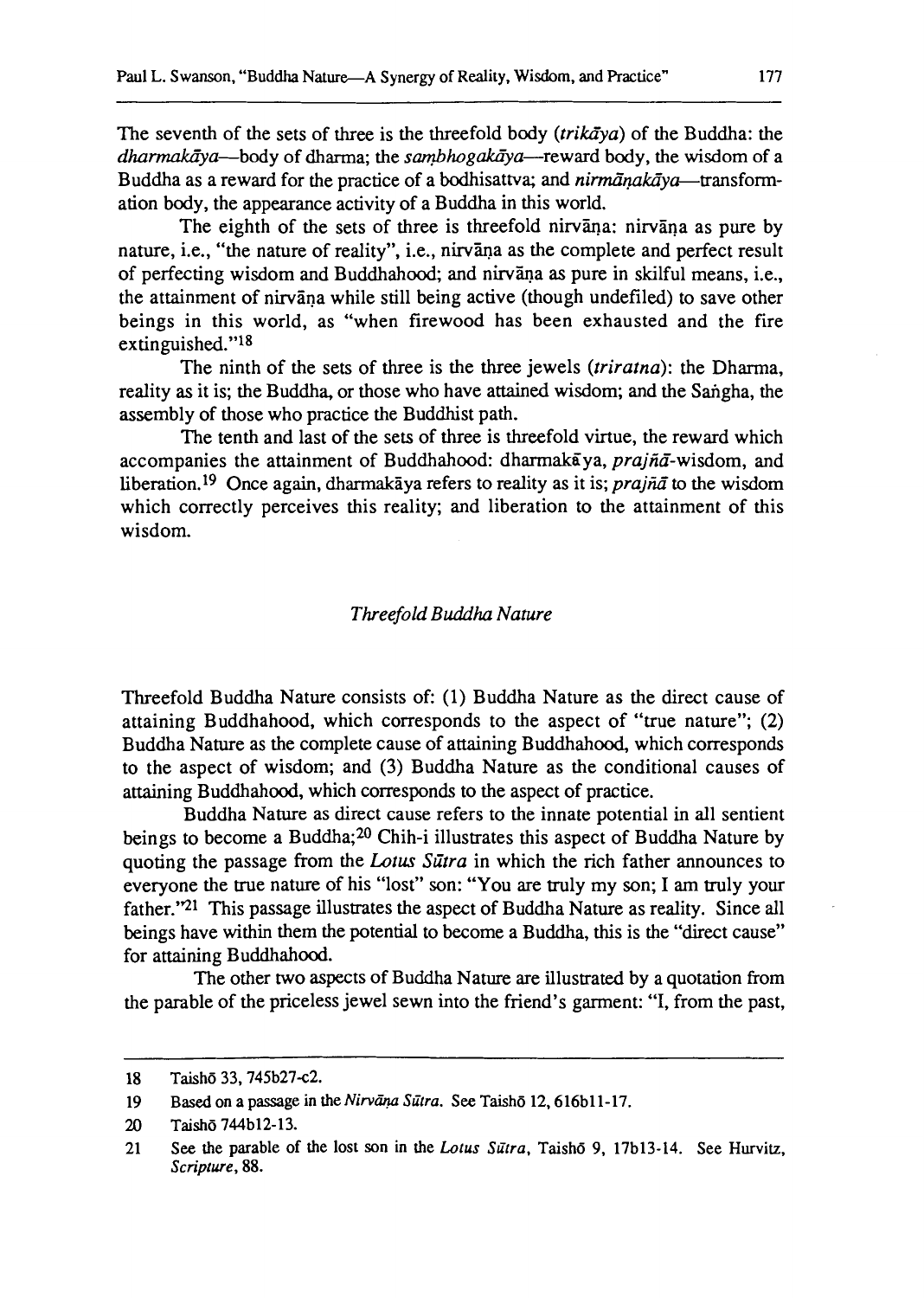The seventh of the sets of three is the threefold body (*trikava*) of the Buddha: the  $d$ harmakāya—body of dharma; the sambhogakāya—reward body, the wisdom of a Buddha as a reward for the practice of a bodhisattva; and nirmānakāva-transformation body, the appearance activity of a Buddha in this world.

The eighth of the sets of three is threefold nirvana: nirvana as pure by nature, i.e., "the nature of reality", i.e., nirvana as the complete and perfect result of perfecting wisdom and Buddhahood; and nirvana as pure in skilful means, i.e., the attainment of nirvana while still being active (though undefiled) to save other beings in this world, as "when firewood has been exhausted and the fire extinguished."l8

The ninth of the sets of three is the three jewels (triratna): the Dharma, reality as it is; the Buddha, or those who have attained wisdom; and the Saigha, the assembly of those who practice the Buddhist path.

The tenth and last of the sets of three is threefold virtue, the reward which accompanies the attainment of Buddhahood: dharmak $\bar{a}$ va, prajn $\bar{a}$ -wisdom, and liberation.<sup>19</sup> Once again, dharmakaya refers to reality as it is; *prajna* to the wisdom which correctly perceives this reality; and liberation to the attainment of this wisdom.

#### Threefold *Buddha* Nature

Threefold Buddha Nature consists of: (1) Buddha Nature as the direct cause of attaining Buddhahood, which corresponds to the aspect of "true nature"; **(2)**  Buddha Nature as the complete cause of attaining Buddhahood, which corresponds to the aspect of wisdom; and **(3)** Buddha Nature as the conditional causes of attaining Buddhahood, which corresponds to the aspect of practice.

Buddha Nature as direct cause refers to the innate potential in all sentient beings to become a Buddha;20 Chih-i illustrates this aspect of Buddha Nature by quoting the passage from the Lotus Sutra in which the rich father announces to everyone the true nature of his "lost" son: "You are truly my son; I am truly your father."<sup>21</sup> This passage illustrates the aspect of Buddha Nature as reality. Since all beings have within them the potential to become a Buddha, this is the "direct cause" for attaining Buddhahood.

The other two aspects of Buddha Nature are illustrated by a quotation from the parable of the priceless jewel sewn into the friend's garment: "I, from the past,

**<sup>18</sup> Taish6 33.745b27~2.** 

<sup>19</sup> Based on a passage in the *Nirvāna Sūtra*. See Taishō 12, 616b11-17.

**<sup>20</sup> Taishd 744b12- 13.** 

<sup>21</sup> See the parable of the lost son in the *Lotus Sūtra*, Taishō 9, 17b13-14. See Hurvitz, *Scriptwe,* **88.**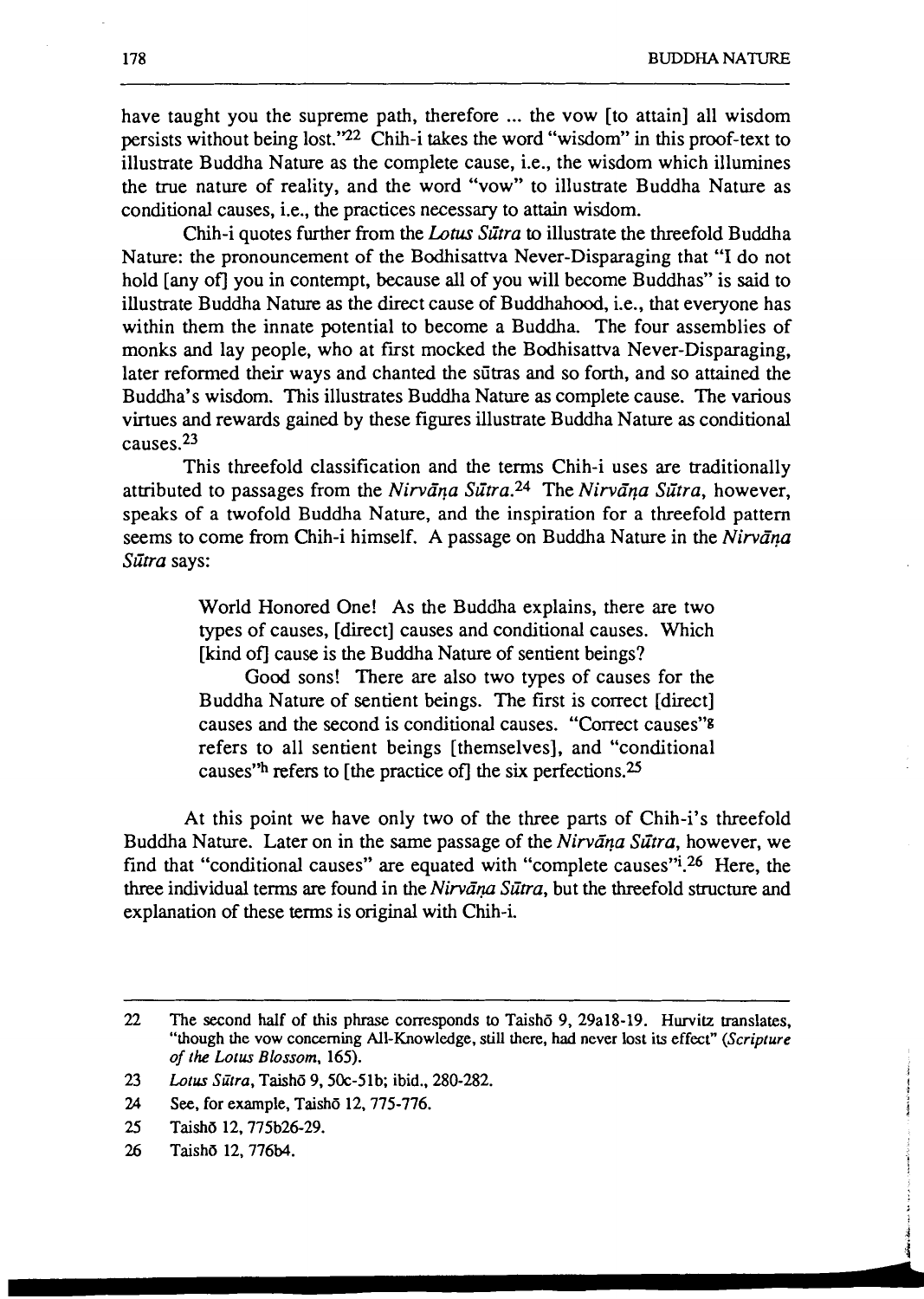have taught you the supreme path, therefore ... the vow [to attain] all wisdom persists without being lost."<sup>22</sup> Chih-i takes the word "wisdom" in this proof-text to illustrate Buddha Nature as the complete cause, i.e., the wisdom which illumines the true nature of reality, and the word "vow" to illustrate Buddha Nature as conditional causes, i.e., the practices necessary to attain wisdom.

Chih-i quotes further from the *Lotus Sūtra* to illustrate the threefold Buddha Nature: the pronouncement of the Bodhisattva Never-Disparaging that "I do not hold [any of] you in contempt, because all of you will become Buddhas" is said to illustrate Buddha **Nature** as the direct cause of Buddhahood, i.e., that everyone has within them the innate potential to become a Buddha. The four assemblies of monks and lay people, who at first mocked the Bodhisattva Never-Disparaging, later reformed their ways and chanted the siitras and so forth, and so attained the Buddha's wisdom. This illustrates Buddha Nature as complete cause. The various virtues and rewards gained by these figures illustrate Buddha Nature as conditional causes.23

This threefold classification and the terms Chih-i uses are traditionally attributed to passages from the Nirvana Sūtra.<sup>24</sup> The Nirvana Sūtra, however, speaks of a twofold Buddha Nature, and the inspiration for a threefold pattern seems to come from Chih-i himself. A passage on Buddha Nature in the Nirvana Sūtra says:

> World Honored One! As the Buddha explains, there are two types of causes, [direct] causes and conditional causes. Which [kind of] cause is the Buddha Nature of sentient beings?

> Good sons! There are also two types of causes for the Buddha Nature of sentient beings. The first is correct [direct] causes and the second is conditional causes. "Correct causes"<sup>8</sup> refers to all sentient beings [themselves], and "conditional causes" refers to [the practice of] the six perfections.<sup>25</sup>

At this point we have only two of the three parts of Chih-i's threefold Buddha Nature. Later on in the same passage of the Nirvana Sutra, however, we find that "conditional causes" are equated with "complete causes"<sup> $1,26$ </sup> Here, the three individual terms are found in the Nirvana Sutra, but the threefold structure and explanation of these terms is original with Chih-i.

<sup>22</sup> The second half of this phrase corresponds to Taish<sub>o</sub> 9, 29a18-19. Hurvitz translates, **"though the vow concerning All-Knowledge, still there, had never lost its effect"** *(Scripture of the Lotus Blossom,* **165).** 

**<sup>23</sup>** *Lotus Sitra,* **Taishd 9.50~-51b; ibid., 280-282.** 

**<sup>24</sup> See, for example, Taish6 12,775-776.** 

**<sup>25</sup> Taish6 12.775b26-29.** 

**<sup>26</sup> Taish6 12,776b4.**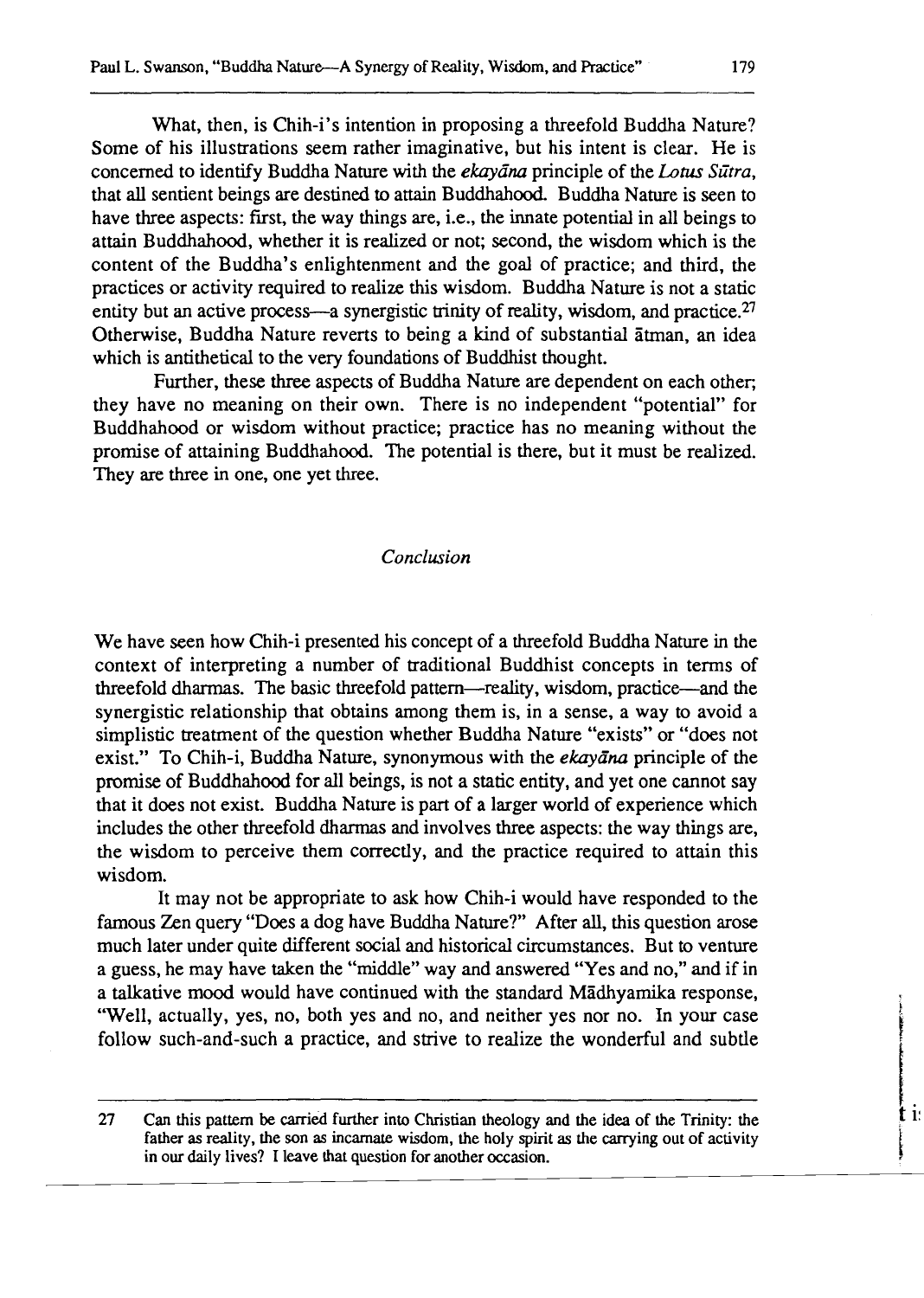What, then, is Chih-i's intention in proposing a threefold Buddha Nature? Some of his illustrations seem rather imaginative, but his intent is clear. He is concerned to identify Buddha Nature with the *ekayana* principle of the Lotus Sūtra, that all sentient beings are destined to attain Buddhahood. Buddha Nature is seen to have three aspects: first, the way things are, i.e., the innate potential in all beings to attain Buddhahood, whether it is realized or not; second, the wisdom which is the content of the Buddha's enlightenment and the goal of practice; and third, the practices or activity required to realize this wisdom. Buddha Nature is not a static entity but an active process—a synergistic trinity of reality, wisdom, and practice. $27$ Otherwise, Buddha Nature reverts to being a kind of substantial atman, an idea which is antithetical to the very foundations of Buddhist thought.

Further, these three aspects of Buddha Nature are dependent on each other; they have no meaning on their own. There is no independent "potential" for Buddhahood or wisdom without practice; practice has no meaning without the promise of attaining Buddhahood. The potential is there, but it must be realized. They are three in one, one yet three.

### *Conclusion*

We have seen how Chih-i presented his concept of a threefold Buddha Nature in the context of interpreting a number of traditional Buddhist concepts in terms of threefold dharmas. The basic threefold pattern-reality, wisdom, practice-and the synergistic relationship that obtains among them is, in a sense, a way to avoid a simplistic treatment of the question whether Buddha Nature "exists" or "does not exist." To Chih-i, Buddha Nature, synonymous with the *ekayana* principle of the promise of Buddhahood for all beings, is not a static entity, and yet one cannot say that it does not exist. Buddha Nature is part of a larger world of experience which includes the other threefold dharmas and involves three aspects: the way things are, the wisdom to perceive them correctly, and the practice required to attain this wisdom.

It may not be appropriate to ask how Chih-i would have responded to the famous Zen query "Does a dog have Buddha Nature?" After all, this question arose much later under quite different social and historical circumstances. But to venture a guess, he may have taken the "middle" way and answered "Yes and no," and if in a talkative mood would have continued with the standard Madhyamika response, "Well, actually, yes, no, both yes and no, and neither yes nor no. In your case follow such-and-such a practice, and strive to realize the wonderful and subtle

**27 Can this pattern be carried further into Christian theology and the idea of the Trinity: the father as reality, the son as incarnate wisdom, the holy spirit as the carrying out of activity**  in our daily lives? I leave that question for another occasion.

t i: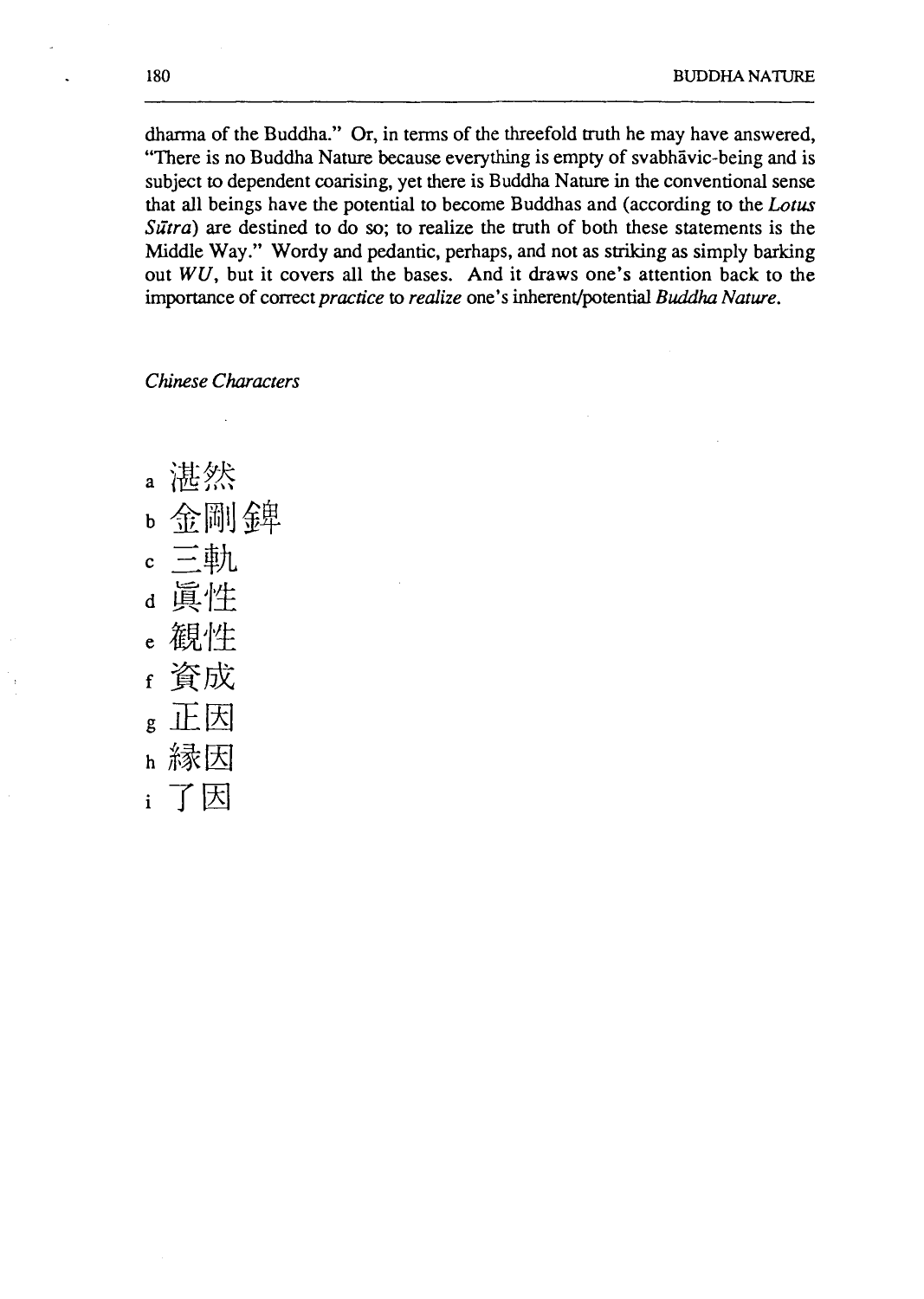dharma of the Buddha." Or, in terms of the threefold truth he may have answered, "There is no Buddha Nature because everything is empty of svabhavic-being and is subject to dependent coarising, yet there is Buddha Nature in the conventional sense that all beings have the potential to become Buddhas and (according to the *Lotus Sūtra*) are destined to do so; to realize the truth of both these statements is the Middle Way." Wordy and pedantic, perhaps, and not as striking as simply barking out  $WU$ , but it covers all the bases. And it draws one's attention back to the importance of correct *practice* to *realize* one's inherent/potential *Buddha Nature.* 

*Chinese Characters* 

a 湛然 b 金剛錦 三軌  $\mathbf{c}$ 真性  $\overline{\mathbf{d}}$ e 観性 資成  $\mathbf{f}$ 正因  $\mathbf{g}$ h 縁因 了因  $\mathbf{i}$